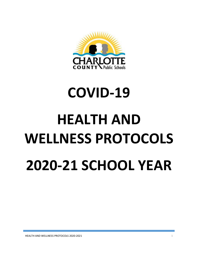

# **COVID-19**

# **HEALTH AND WELLNESS PROTOCOLS 2020-21 SCHOOL YEAR**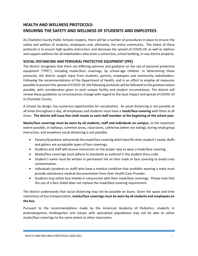# **HEALTH AND WELLNESS PROTOCOLS: ENSURING THE SAFETY AND WELLNESS OF STUDENTS AND EMPLOYEES**

As Charlotte County Public Schools reopens, there will be a number of procedures in place to ensure the safety and welfare of students, employees and, ultimately, the entire community. The intent of these protocols is to ensure high-quality instruction, and decrease the spread of COVID-19, as well as address and support wellness for all stakeholders who enter a school bus, school building, or any district property.

### **SOCIAL DISTANCING AND PERSONAL PROTECTIVE EQUIPMENT (PPE)**

The district recognizes that there are differing opinions and guidance on the use of personal protective equipment ("PPE"), including masks/face coverings, by school-age children. In determining these protocols, the district sought input from students, parents, employees and community stakeholders. Following the recommendations of the Department of Health, and in an effort to employ all measures possible to prevent the spread of COVID-19, the following protocols will be followed to the greatest extent possible, with consideration given to each unique facility and student circumstances. The district will review these guidelines as circumstances change with regard to the local impact and spread of COVID-19 in Charlotte County.

A school, by design, has numerous opportunities for socialization. As social distancing is not possible at all times throughout a day, all employees and students must have a **mask/face covering** with them at all times. **The district will issue five cloth masks to each staff member at the beginning of the school year.**

**Masks/face coverings must be worn by all students, staff and individuals on campus,** to the maximum extent possible, in hallways, common areas, classrooms, cafeterias (when not eating), during small group instruction, and anywhere social distancing is not possible.

- Parents/Guardians will provide the mask/face covering which best fits their student's needs. Buffs and gaiters are acceptable types of face coverings.
- Students and staff will receive instruction on the proper way to wear a mask/face covering.
- Masks/face coverings must adhere to standards as outlined in the student dress code.
- Student's name must be written in permanent ink on their mask or face covering to avoid cross contamination.
- Individuals (students or staff) who have a medical condition that prohibits wearing a mask must provide satisfactory medical documentation from their Health Care Provider.
- Students may utilize face shields in conjunction with their mask/face coverings. Please note that the use of a face shield does not replace the mask/face covering requirement.

The district understands that social distancing may not be possible on buses. Given the space and time restrictions of bus transportation, **masks/face coverings must be worn by all students and employees on the bus.** 

Pursuant to the recommendations made by the American Academy of Pediatrics, students in prekindergarten, kindergarten and classes with specialized populations may not be able to utilize masks/face coverings to the same extent as other classrooms.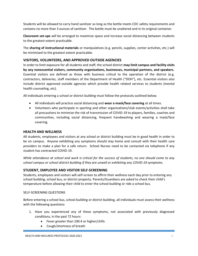Students will be allowed to carry hand sanitizer as long as the bottle meets CDC safety requirements and contains no more than 3 ounces of sanitizer. The bottle must be unaltered and in its original container.

**Classroom set-ups** will be arranged to maximize space and increase social distancing between students to the greatest extent practicable.

The **sharing of instructional materials** or manipulatives (e.g. pencils, supplies, center activities, etc.) will be minimized to the greatest extent practicable.

#### **VISITORS, VOLUNTEERS, AND APPROVED OUTSIDE AGENCIES**

In order to limit exposure for all students and staff, the school district **may limit campus and facility visits by any nonessential visitors, community organizations, businesses, municipal partners, and speakers.**  Essential visitors are defined as those with business critical to the operation of the district (e.g. contractors, deliveries, staff members of the Department of Health ("DOH"), etc. Essential visitors also include district approved outside agencies which provide health related services to students (mental health counseling, etc).

All individuals entering a school or district building must follow the protocols outlined below.

- All individuals will practice social distancing and **wear a mask/face covering** at all times.
- Volunteers who participate in sporting and other organizations/club events/activities shall take all precautions to minimize the risk of transmission of COVID-19 to players, families, coaches and communities, including social distancing, frequent handwashing and wearing a mask/face covering.

#### **HEALTH AND WELLNESS**

All students, employees and visitors at any school or district building must be in good health in order to be on campus. Anyone exhibiting any symptoms should stay home and consult with their health care providers to make a plan for a safe return. School Nurses need to be contacted via telephone if any student has contracted COVID-19.

*While attendance at school and work is critical for the success of students, no one should come to any school campus or school district building if they are unwell or exhibiting any COVID-19 symptoms.*

#### **STUDENT, EMPLOYEE AND VISITOR SELF-SCREENING**

Students, employees and visitors will self-screen to affirm their wellness each day prior to entering any school building, school bus, or district property. Parents/Guardians are asked to check their child's temperature before allowing their child to enter the school building or ride a school bus.

#### SELF-SCREENING QUESTIONS

Before entering a school bus, school building or district building, all individuals must assess their wellness with the following questions:

- 1. Have you experienced any of these symptoms, not associated with previously diagnosed conditions, in the past 72 hours:
	- Fever greater than 100.4 or higher/chills
	- Cough/shortness of breath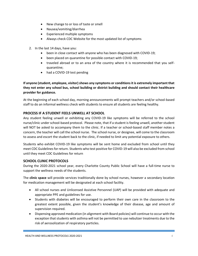- New change to or loss of taste or smell
- Nausea/vomiting/diarrhea
- Experienced multiple symptoms
- Always check CDC Website for the most updated list of symptoms
- 2. In the last 14 days, have you:
	- been in close contact with anyone who has been diagnosed with COVID-19;
	- been placed on quarantine for possible contact with COVID-19;
	- traveled abroad or to an area of the country where it is recommended that you selfquarantine;
	- had a COVID-19 test pending

**If anyone (student, employee, visitor) shows any symptoms or conditions it is extremely important that they not enter any school bus, school building or district building and should contact their healthcare provider for guidance.**

At the beginning of each school day, morning announcements will prompt teachers and/or school-based staff to do an informal wellness check with students to ensure all students are feeling healthy.

#### **PROCESS IF A STUDENT FEELS UNWELL AT SCHOOL**

Any student feeling unwell or exhibiting any COVID-19 like symptoms will be referred to the school nurse/clinic under school-based protocol. Please note, that if a student is feeling unwell, another student will NOT be asked to accompany them to the clinic. If a teacher or school-based staff member notes a concern, the teacher will call the school nurse. The school nurse, or designee, will come to the classroom to assess and escort the student back to the clinic, if needed to limit any potential exposure to others.

Students who exhibit COVID-19 like symptoms will be sent home and excluded from school until they meet CDC Guidelines for return. Students who test positive for COVID-19 will also be excluded from school until they meet CDC Guidelines for return

# **SCHOOL CLINIC PROTOCOLS**

During the 2020-2021 school year, every Charlotte County Public School will have a full-time nurse to support the wellness needs of the students.

The **clinic space** will provide services traditionally done by school nurses, however a secondary location for medication management will be designated at each school facility.

- All school nurses and Unlicensed Assistive Personnel (UAP) will be provided with adequate and appropriate PPE and guidelines for use.
- Students with diabetes will be encouraged to perform their own care in the classroom to the greatest extent possible, given the student's knowledge of their disease, age and amount of supervision required.
- Dispensing approved medication (in alignment with Board policies) will continue to occur with the exception that students with asthma will not be permitted to use nebulizer treatments due to the risk of aerosolization of respiratory particles.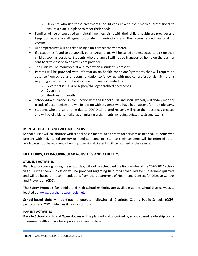- $\circ$  Students who use these treatments should consult with their medical professional to ensure a plan is in place to meet their needs.
- Families will be encouraged to maintain wellness visits with their child's healthcare provider and keep up-to-date on all age-appropriate immunizations and the recommended seasonal flu vaccine.
- All temperatures will be taken using a no-contact thermometer.
- If a student is found to be unwell, parents/guardians will be called and expected to pick up their child as soon as possible. Students who are unwell will not be transported home on the bus nor sent back to class or to an after-care provider.
- The clinic will be monitored at all times when a student is present.
- Parents will be provided with information on health conditions/symptoms that will require an absence from school and recommendation to follow-up with medical professionals. Symptoms requiring absence from school include, but are not limited to:
	- o Fever that is 100.4 or higher/chills/generalized body aches
	- o Coughing
	- o Shortness of breath
- School Administration, in conjunction with the school nurse and social worker, will closely monitor trends of absenteeism and will follow-up with students who have been absent for multiple days.
- Students who are sent home due to COVID-19 related reasons will have their absences excused and will be eligible to make-up all missing assignments including quizzes, tests and exams.

#### **MENTAL HEALTH AND WELLNESS SERVICES**

School nurses will collaborate with school based mental health staff for services as needed. Students who present with heightened anxiety or need someone to listen to their concerns will be referred to an available school based mental health professional. Parents will be notified of the referral.

# **FIELD TRIPS, EXTRACURRICULAR ACTIVITIES AND ATHLETICS**

#### **STUDENT ACTIVITIES**

**Field trips,** occurring during the school day, will not be scheduled the first quarter of the 2020-2021 school year. Further communication will be provided regarding field trips scheduled for subsequent quarters and will be based on recommendations from the Department of Health and Centers for Disease Control and Prevention (CDC).

The Safety Protocols for Middle and High School **Athletics** are available at the school district website located at: [www.yourcharlotteschools.net.](http://www.yourcharlotteschools.net/)

**School-based clubs** will continue to operate, following all Charlotte County Public Schools (CCPS) protocols and CDC guidelines if held on campus.

#### **PARENT ACTIVITIES**

**Back to School Nights and Open Houses** will be planned and organized by school-based leadership teams to ensure health and wellness procedures are in place.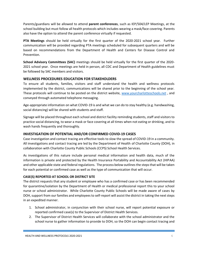Parents/guardians will be allowed to attend **parent conferences**, such as IEP/504/LEP Meetings, at the school building but must follow all health protocols which includes wearing a mask/face covering. Parents also have the option to attend the parent conference virtually if requested.

**PTA Meetings** should be held virtually for the first quarter of the 2020-2021 school year. Further communication will be provided regarding PTA meetings scheduled for subsequent quarters and will be based on recommendations from the Department of Health and Centers for Disease Control and Prevention.

**School Advisory Committees (SAC)** meetings should be held virtually for the first quarter of the 2020- 2021 school year. Once meetings are held in person, all CDC and Department of Health guidelines must be followed by SAC members and visitors.

#### **WELLNESS PROCEDURES EDUCATION FOR STAKEHOLDERS**

To ensure all students, families, visitors and staff understand the health and wellness protocols implemented by the district, communications will be shared prior to the beginning of the school year. These protocols will continue to be posted on the district website, [www.yourcharlotteschools.net](http://www.yourcharlotteschools.net/) , and conveyed through automated telephone messaging.

Age-appropriate information on what COVID-19 is and what we can do to stay healthy (e.g. handwashing, social distancing) will be shared with students and staff.

Signage will be placed throughout each school and district facility reminding students, staff and visitors to practice social distancing, to wear a mask or face covering at all times when not eating or drinking, and to wash hands frequently and thoroughly.

#### **INVESTIGATION OF POTENTIAL AND/OR CONFIRMED COVID-19 CASES**

Case investigation and contact tracing are effective tools to slow the spread of COVID-19 in a community. All investigations and contact tracing are led by the Department of Health of Charlotte County (DOH), in collaboration with Charlotte County Public Schools (CCPS) School Health Services.

As investigations of this nature include personal medical information and health data, much of the information is private and protected by the Health Insurance Portability and Accountability Act (HIPAA) and other applicable state and federal regulations. The process below outlines the steps that will be taken for each potential or confirmed case as well as the type of communication that will occur.

#### **CASE(S) REPORTED AT SCHOOL OR DISTRICT SITE**

The district requests that any student or employee who has a confirmed case or has been recommended for quarantine/isolation by the Department of Health or medical professional report this to your school nurse or school administrator. While Charlotte County Public Schools will be made aware of cases by DOH, support from our families and employees to self-report will assist the district in taking the next steps in an expedited manner.

- 1. School administrator, in conjunction with their school nurse, will report potential exposure or reported confirmed case(s) to the Supervisor of District Health Services.
- 2. The Supervisor of District Health Services will collaborate with the school administrator and the school nurse to gather information to provide to DOH, so the DOH can begin contact tracing and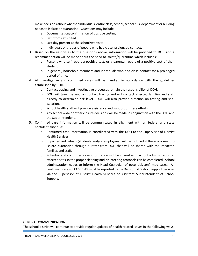make decisions about whether individuals, entire class, school, school bus, department or building needs to isolate or quarantine. Questions may include:

- a. Documentation/confirmation of positive testing.
- b. Symptoms exhibited.
- c. Last day present at the school/worksite.
- d. Individuals or groups of people who had close, prolonged contact.
- 3. Based on the responses to the questions above, information will be provided to DOH and a recommendation will be made about the need to isolate/quarantine which includes:
	- a. Persons who self-report a positive test, or a parental report of a positive test of their student.
	- b. In general, household members and individuals who had close contact for a prolonged period of time.
- 4. All investigative and confirmed cases will be handled in accordance with the guidelines established by DOH.
	- a. Contact tracing and investigative processes remain the responsibility of DOH.
	- b. DOH will take the lead on contact tracing and will contact affected families and staff directly to determine risk level. DOH will also provide direction on testing and selfisolation.
	- c. School health staff will provide assistance and support of these efforts.
	- d. Any school wide or other closure decisions will be made in conjunction with the DOH and the Superintendent.
- 5. Confirmed case information will be communicated in alignment with all federal and state confidentiality rules.
	- a. Confirmed case information is coordinated with the DOH to the Supervisor of District Health Services.
	- b. Impacted individuals (students and/or employees) will be notified if there is a need to isolate quarantine through a letter from DOH that will be shared with the impacted families and staff.
	- c. Potential and confirmed case information will be shared with school administration at affected sites so the proper cleaning and disinfecting protocols can be completed. School administration needs to inform the Head Custodian of potential/confirmed cases. All confirmed cases of COVID-19 must be reported to the Division of District Support Services via the Supervisor of District Health Services or Assistant Superintendent of School Support.

#### **GENERAL COMMUNICATION**

The school district will continue to provide regular updates of health related issues in the following ways: